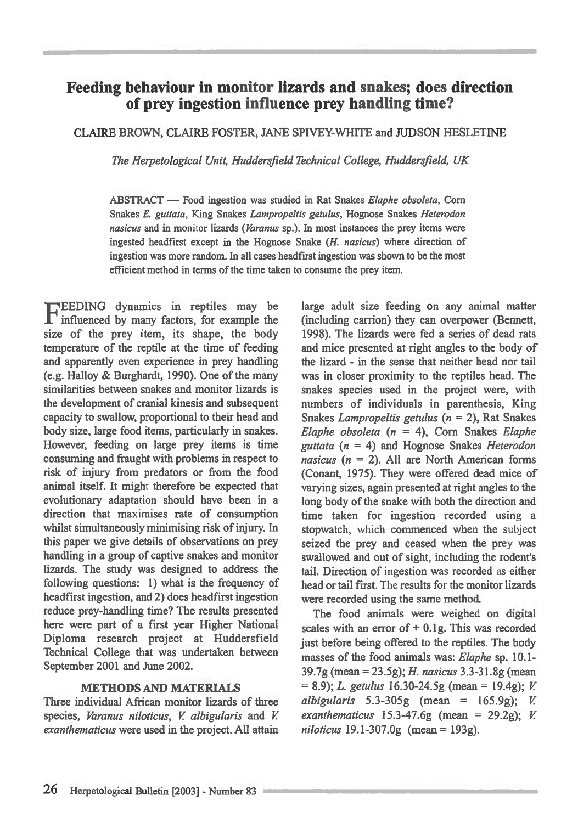# **Feeding behaviour in monitor lizards and snakes; does direction of prey ingestion influence prey handling time?**

# **CLAIRE BROWN, CLAIRE FOSTER, JANE SPIVEY-WHITE and JUDSON HESLETINE**

*The Herpetological Unit, Huddersfield Technical College, Huddersfield, UK* 

**ABSTRACT — Food ingestion was studied in Rat Snakes** *Elaphe obsoleta,* **Corn Snakes** *E. guttata,* **King Snakes** *Lampropeltis getulus,* **Hognose Snakes** *Heterodon nasicus* **and in monitor lizards (***Varanus* **sp.). In most instances the prey items were ingested headfirst except in the Hognose Snake** *(H. nasicus)* **where direction of ingestion was more random. In all cases headfirst ingestion was shown to be the most efficient method in terms of the time taken to consume the prey item.** 

**F influenced by many factors, for example the EEDING dynamics in reptiles may be size of the prey item, its shape, the body temperature of the reptile at the time of feeding and apparently even experience in prey handling (e.g. Halloy & Burghardt, 1990). One of the many similarities between snakes and monitor lizards is the development of cranial kinesis and subsequent capacity to swallow, proportional to their head and body size, large food items, particularly in snakes. However, feeding on large prey items is time consuming and fraught with problems in respect to risk of injury from predators or from the food animal itself. It might therefore be expected that evolutionary adaptation should have been in a direction that maximises rate of consumption whilst simultaneously minimising risk of injury. In this paper we give details of observations on prey handling in a group of captive snakes and monitor lizards. The study was designed to address the following questions: 1) what is the frequency of headfirst ingestion, and 2) does headfirst ingestion reduce prey-handling time? The results presented here were part of a first year Higher National Diploma research project at Huddersfield Technical College that was undertaken between September 2001 and June 2002.** 

## **METHODS AND MATERIALS**

**Three individual African monitor lizards of three species,** *Varanus niloticus, V albigularis* **and** *V exanthematicus* **were used in the project. All attain**  **large adult size feeding on any animal matter (including carrion) they can overpower (Bennett, 1998). The lizards were fed a series of dead rats and mice presented at right angles to the body of the lizard - in the sense that neither head nor tail was in closer proximity to the reptiles head. The snakes species used in the project were, with numbers of individuals in parenthesis, King Snakes** *Lampropeltis getulus (n =* **2), Rat Snakes**  *Elaphe obsoleta (n =* **4), Corn Snakes** *Elaphe guttata (n =* **4) and Hognose Snakes** *Heterodon nasicus (n =* **2). All are North American forms (Conant, 1975). They were offered dead mice of varying sizes, again presented at right angles to the long body of the snake with both the direction and time taken for ingestion recorded using a stopwatch, which commenced when the subject seized the prey and ceased when the prey was swallowed and out of sight, including the rodent's tail. Direction of ingestion was recorded as either head or tail first. The results for the monitor lizards were recorded using the same method.** 

**The food animals were weighed on digital scales with an error of + 0.1g. This was recorded just before being offered to the reptiles. The body masses of the food animals was:** *Elaphe* **sp. 10.1- 39.7g (mean = 23.5g);** *H. nasicus* **3.3-31.8g (mean = 8.9);** *L. getulus* **16.30-24.5g (mean = 19.4g);** *V albigularis* **5.3-305g (mean = 165.9g);** *V exanthematicus* **15.3-47.6g (mean = 29.2g);** *V niloticus* **19.1-307.0g (mean = 193g).**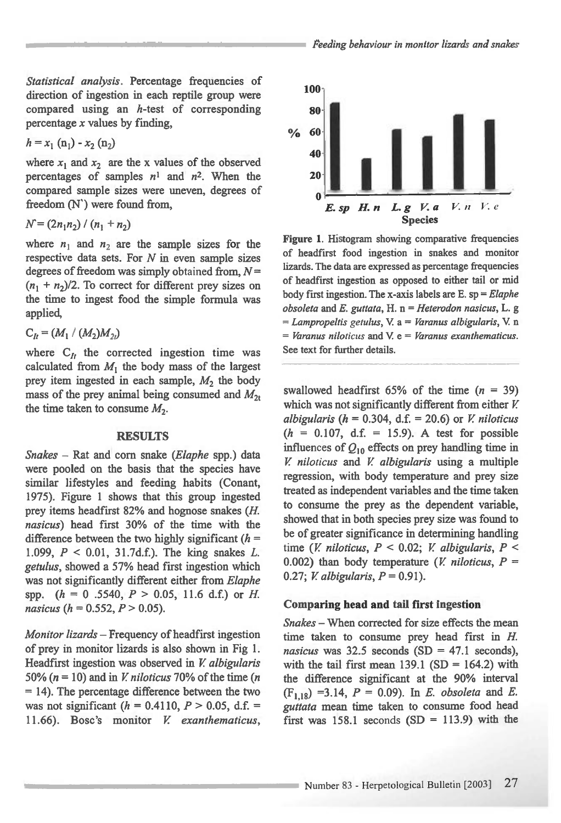*Statistical analysis.* Percentage frequencies of direction of ingestion in each reptile group were compared using an h-test of corresponding percentage *x* values by finding,

$$
h = x_1 \, (\mathbf{n}_1) - x_2 \, (\mathbf{n}_2)
$$

where  $x_1$  and  $x_2$  are the x values of the observed percentages of samples  $n^1$  and  $n^2$ . When the compared sample sizes were uneven, degrees of freedom (N') were found from,

$$
N = (2n_1n_2) / (n_1 + n_2)
$$

where  $n_1$  and  $n_2$  are the sample sizes for the respective data sets. For *N in* even sample sizes degrees of freedom was simply obtained from, *N=*   $(n_1 + n_2)/2$ . To correct for different prey sizes on the time to ingest food the simple formula was applied,

$$
C_{lt}=(M_1/(M_2)M_{2t})
$$

where  $C_{1}$  the corrected ingestion time was calculated from  $M_1$  the body mass of the largest prey item ingested in each sample,  $M_2$  the body mass of the prey animal being consumed and  $M_{2t}$ the time taken to consume  $M_2$ .

#### **RESULTS**

*Snakes - Rat and corn snake (Elaphe spp.)* data were pooled on the basis that the species have similar lifestyles and feeding habits (Conant, 1975). Figure 1 shows that this group ingested prey items headfirst 82% and hognose snakes *(H. nasicus)* head first 30% of the time with the difference between the two highly significant *(h =*  1.099, *P <* 0.01, 31.7d.f.). The king snakes *L. getulus,* showed a 57% head first ingestion which was not significantly different either from *Elaphe*  spp. *(h =* 0 .5540, *P >* 0.05, 11.6 d.f.) or *H nasicus (h =* 0.552, *P >* 0.05).

*Monitor lizards —* Frequency of headfirst ingestion of prey in monitor lizards is also shown in Fig 1. Headfirst ingestion was observed in *V albigularis*  50% (n = 10) and in *V niloticus* 70% of the time (n = 14). The percentage difference between the two was not significant  $(h = 0.4110, P > 0.05, d.f. =$ 11.66). Bosc's monitor *V exanthematicus,* 



Figure 1. Histogram showing comparative frequencies of headfirst food ingestion in snakes and monitor lizards. The data are expressed as percentage frequencies of headfirst ingestion as opposed to either tail or mid body first ingestion. The x-axis labels are E.  $sp = Elaphe$ obsoleta and  $E$ . guttata,  $H$ . n = Heterodon nasicus, L. g  $=$  Lampropeltis getulus, V. a  $=$  Varanus albigularis, V. n  $=$  Varanus niloticus and V.  $e =$  Varanus exanthematicus. See text for further details.

swallowed headfirst 65% of the time  $(n = 39)$ which was not significantly different from either *V*. *albigularis* ( $h = 0.304$ , d.f. = 20.6) or *V. niloticus*  $(h = 0.107, d.f. = 15.9)$ . A test for possible influences of  $Q_{10}$  effects on prey handling time in *V niloticus* and *V albigularis* using a multiple regression, with body temperature and prey size treated as independent variables and the time taken to consume the prey as the dependent variable, showed that in both species prey size was found to be of greater significance in determining handling time *(V niloticus, P <* 0.02; *V albigularis, P <*  0.002) than body temperature  $(V \text{ } niloticus, P =$ 0.27; *V albigularis, P =* 0.91).

#### **Comparing head and tail first ingestion**

*Snakes —* When corrected for size effects the mean time taken to consume prey head first in *H*. *nasicus* was  $32.5$  seconds (SD = 47.1 seconds), with the tail first mean  $139.1$  (SD = 164.2) with the difference significant at the 90% interval  $(F_{1,18}) = 3.14$ ,  $P = 0.09$ ). In *E. obsoleta* and *E. guttata mean* time taken to consume food head first was 158.1 seconds  $(SD = 113.9)$  with the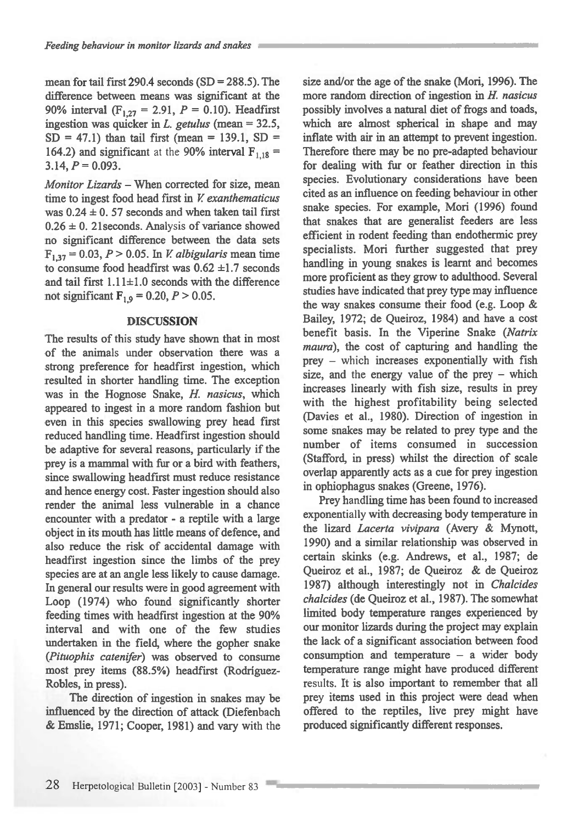mean for tail first 290.4 seconds  $(SD = 288.5)$ . The difference between means was significant at the 90% interval (F1, 27= 2.91, *P =* 0.10). Headfirst ingestion was quicker in *L. getulus (mean =* 32.5,  $SD = 47.1$ ) than tail first (mean = 139.1, SD = 164.2) and significant at the 90% interval  $F_{1,18}$  =  $3.14, P = 0.093.$ 

*Monitor Lizards —* When corrected for size, mean time to ingest food head first in *V exanthematicus*  was  $0.24 \pm 0.57$  seconds and when taken tail first  $0.26 \pm 0$ . 21 seconds. Analysis of variance showed no significant difference between the data sets **F1 , 37=** 0.03, *P >* 0.05. In *V albigularis meantime*  to consume food headfirst was  $0.62 \pm 1.7$  seconds and tail first  $1.11 \pm 1.0$  seconds with the difference not significant  $F_{1,9} = 0.20, P > 0.05$ .

#### **DISCUSSION**

The results of this study have shown that in most of the animals under observation there was a strong preference for headfirst ingestion, which resulted in shorter handling time. The exception was in the Hognose Snake, *H. nasicus,* which appeared to ingest in a more random fashion but even in this species swallowing prey head first reduced handling time. Headfirst ingestion should be adaptive for several reasons, particularly if the prey is a mammal with fur or a bird with feathers, since swallowing headfirst must reduce resistance and hence energy cost. Faster ingestion should also render the animal less vulnerable in a chance encounter with a predator - a reptile with a large object in its mouth has little means of defence, and also reduce the risk of accidental damage with headfirst ingestion since the limbs of the prey species are at an angle less likely to cause damage. In general our results were in good agreement with Loop (1974) who found significantly shorter feeding times with headfirst ingestion at the 90% interval and with one of the few studies undertaken in the field, where the gopher snake *(Pituophis catenifer)* was observed to consume most prey items (88.5%) headfirst (Rodriguez-Robles, in press).

The direction of ingestion in snakes may be influenced by the direction of attack (Diefenbach & Emslie, 1971; Cooper, 1981) and vary with the size and/or the age of the snake (Mori, 1996). The more random direction of ingestion in *H. nasicus*  possibly involves a natural diet of frogs and toads, which are almost spherical in shape and may inflate with air in an attempt to prevent ingestion. Therefore there may be no pre-adapted behaviour for dealing with fur or feather direction in this species. Evolutionary considerations have been cited as an influence on feeding behaviour in other snake species. For example, Mori (1996) found that snakes that are generalist feeders are less efficient in rodent feeding than endothermic prey specialists. Mori further suggested that prey handling in young snakes is learnt and becomes more proficient as they grow to adulthood. Several studies have indicated that prey type may influence the way snakes consume their food (e.g. Loop & Bailey, 1972; de Queiroz, 1984) and have a cost benefit basis. In the Viperine Snake *(Natrix maura),* the cost of capturing and handling the prey — which increases exponentially with fish size, and the energy value of the prey — which increases linearly with fish size, results in prey with the highest profitability being selected (Davies et al., 1980). Direction of ingestion in some snakes may be related to prey type and the number of items consumed in succession (Stafford, in press) whilst the direction of scale overlap apparently acts as a cue for prey ingestion in ophiophagus snakes (Greene, 1976).

Prey handling time has been found to increased exponentially with decreasing body temperature in the lizard *Lacerta vivipara* (Avery & Mynott, 1990) and a similar relationship was observed in certain skinks (e.g. Andrews, et al., 1987; de Queiroz et al., 1987; de Queiroz & de Queiroz 1987) although interestingly not in *Chalcides chalcides* (de Queiroz et al., 1987). The somewhat limited body temperature ranges experienced by our monitor lizards during the project may explain the lack of a significant association between food consumption and temperature — a wider body temperature range might have produced different results. It is also important to remember that all prey items used in this project were dead when offered to the reptiles, live prey might have produced significantly different responses.